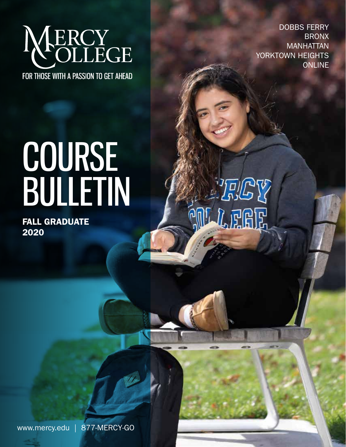

DOBBS FERRY BRONX MANHATTAN YORKTOWN HEIGHTS **ONLINE** 

# COURSE BULLETIN

FALL GRADUATE 2020

וֲקוֹ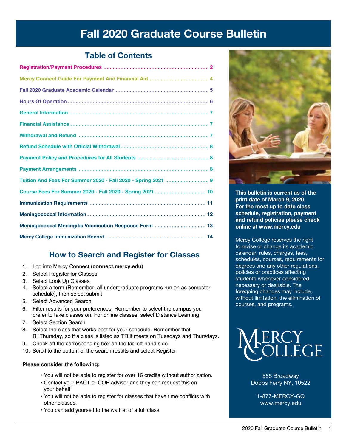# Fall 2020 Graduate Course Bulletin

# Table of Contents

| Payment Policy and Procedures for All Students  8             |
|---------------------------------------------------------------|
|                                                               |
| Tuition And Fees For Summer 2020 - Fall 2020 - Spring 2021  9 |
| Course Fees For Summer 2020 - Fall 2020 - Spring 2021  10     |
|                                                               |
|                                                               |
| Meningococcal Meningitis Vaccination Response Form  13        |
|                                                               |

# How [to Search and Register for Cl](connect.mercy.edu)asses

- 1. Log into Mercy Connect (**connect.mercy.edu**)
- 2. Select Register for Classes
- 3. Select Look Up Classes
- 4. Select a term (Remember, all undergraduate programs run on as semester schedule), then select submit
- 5. Select Advanced Search
- 6. Filter results for your preferences. Remember to select the campus you prefer to take classes on. For online classes, select Distance Learning
- 7. Select Section Search
- 8. Select the class that works best for your schedule. Remember that R=Thursday, so if a class is listed as TR it meets on Tuesdays and Thursdays.
- 9. Check off the corresponding box on the far left-hand side
- 10. Scroll to the bottom of the search results and select Register

## **Please consider the following:**

- You will not be able to register for over 16 credits without authorization.
- Contact your PACT or COP advisor and they can request this on your behalf
- You will not be able to register for classes that have time conflicts with other classes.
- You can add yourself to the waitlist of a full class



This bulletin is current as of the print date of March 9, 2020. For the most up to date class schedule, registration, payment and refund policies please check online at www.mercy.edu

Mercy College reserves the right to revise or change its academic calendar, rules, charges, fees, schedules, courses, requirements for degrees and any other regulations, policies or practices affecting students whenever considered necessary or desirable. The foregoing changes may include, without limitation, the elimination of courses, and programs.



555 Broadway Dobbs Ferry NY, 10522

1-877-MERCY-GO www.mercy.edu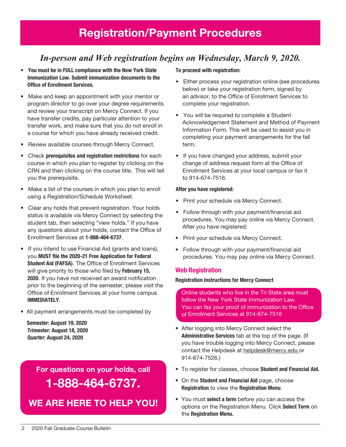# *In-person and Web registration begins on Wednesday, March 9, 2020.*

- You must be in FULL compliance with the New York State Immunization Law. Submit immunization documents to the Office of Enrollment Services.
- Make and keep an appointment with your mentor or program director to go over your degree requirements and review your transcript on Mercy Connect. If you have transfer credits, pay particular attention to your transfer work, and make sure that you do not enroll in a course for which you have already received credit.
- Review available courses through Mercy Connect.
- Check prerequisites and registration restrictions for each course in which you plan to register by clicking on the CRN and then clicking on the course title. This will tell you the prerequisite.
- Make a list of the courses in which you plan to enroll using a Registration/Schedule Worksheet.
- Clear any holds that prevent registration. Your holds status is available via Mercy Connect by selecting the student tab, then selecting "view holds." If you have any questions about your holds, contact the Office of Enrollment Services at 1-888-464-6737.
- If you intend to use Financial Aid (grants and loans), you MUST file the 2020-21 Free Application for Federal Student Aid (FAFSA). The Office of Enrollment Services will give priority to those who filed by February 15, 2020. If you have not received an award notification prior to the beginning of the semester, please visit the Office of Enrollment Services at your home campus IMMEDIATELY.
- All payment arrangements must be completed by

 Semester: August 19, 2020 Trimester: August 18, 2020 Quarter: August 24, 2020

> For questions on your holds, call 1-888-464-6737.

We are here to help You!

#### To proceed with registration:

- Either process your registration online (see procedures below) or take your registration form, signed by an advisor, to the Office of Enrollment Services to complete your registration.
- You will be required to complete a Student Acknowledgement Statement and Method of Payment Information Form. This will be used to assist you in completing your payment arrangements for the fall term.
- If you have changed your address, submit your change of address request form at the Office of Enrollment Services at your local campus or fax it to 914-674-7516.

#### After you have registered:

- Print your schedule via Mercy Connect.
- Follow through with your payment/financial aid procedures. You may pay online via Mercy Connect. After you have registered:
- Print your schedule via Mercy Connect.
- Follow through with your payment/financial aid procedures. You may pay online via Mercy Connect.

#### Web Registration

#### Registration Instructions for Mercy Connect

Online students who live in the Tri State area must follow the New York State Immunization Law. You can fax your proof of immunization to the Office of Enrollment Services at 914-674-7516

- After logging into Mercy Connect select the Administrative Services tab at the top of the page. (If you have trouble logging into Mercy Connect, please contact the Helpdesk at helpdesk@mercy.edu or 914-674-7526.)
- To register for classes, choose Student and Financial Aid.
- On the Student and Financial Aid page, choose Registration to view the Registration Menu.
- You must select a term before you can access the options on the Registration Menu. Click Select Term on the Registration Menu.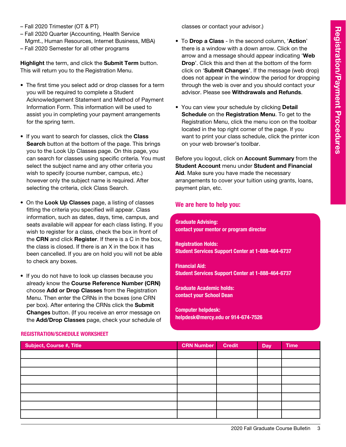- Fall 2020 Trimester (OT & PT)
- Fall 2020 Quarter (Accounting, Health Service Mgmt., Human Resources, Internet Business, MBA)
- Fall 2020 Semester for all other programs

Highlight the term, and click the Submit Term button. This will return you to the Registration Menu.

- The first time you select add or drop classes for a term you will be required to complete a Student Acknowledgement Statement and Method of Payment Information Form. This information will be used to assist you in completing your payment arrangements for the spring term.
- If you want to search for classes, click the Class Search button at the bottom of the page. This brings you to the Look Up Classes page. On this page, you can search for classes using specific criteria. You must select the subject name and any other criteria you wish to specify (course number, campus, etc.) however only the subject name is required. After selecting the criteria, click Class Search.
- On the Look Up Classes page, a listing of classes fitting the criteria you specified will appear. Class information, such as dates, days, time, campus, and seats available will appear for each class listing. If you wish to register for a class, check the box in front of the CRN and click Register. If there is a C in the box, the class is closed. If there is an X in the box it has been cancelled. If you are on hold you will not be able to check any boxes.
- If you do not have to look up classes because you already know the Course Reference Number (CRN) choose Add or Drop Classes from the Registration Menu. Then enter the CRNs in the boxes (one CRN per box). After entering the CRNs click the Submit Changes button. (If you receive an error message on the Add/Drop Classes page, check your schedule of

classes or contact your advisor.)

- To Drop a Class In the second column, 'Action' there is a window with a down arrow. Click on the arrow and a message should appear indicating 'Web Drop'. Click this and then at the bottom of the form click on 'Submit Changes'. If the message (web drop) does not appear in the window the period for dropping through the web is over and you should contact your advisor. Please see Withdrawals and Refunds.
- You can view your schedule by clicking **Detail** Schedule on the Registration Menu. To get to the Registration Menu, click the menu icon on the toolbar located in the top right corner of the page. If you want to print your class schedule, click the printer icon on your web browser's toolbar.

Before you logout, click on Account Summary from the Student Account menu under Student and Financial Aid. Make sure you have made the necessary arrangements to cover your tuition using grants, loans, payment plan, etc.

### We are here to help you:

Graduate Advising: contact your mentor or program director

Registration Holds: Student Services Support Center at 1-888-464-6737

Financial Aid: Student Services Support Center at 1-888-464-6737

Graduate Academic holds: contact your School Dean

Computer helpdesk: helpdesk@mercy.edu or 914-674-7526

| Subject, Course #, Title | <b>CRN Number</b> | <b>Credit</b> | <b>Day</b> | <b>Time</b> |
|--------------------------|-------------------|---------------|------------|-------------|
|                          |                   |               |            |             |
|                          |                   |               |            |             |
|                          |                   |               |            |             |
|                          |                   |               |            |             |
|                          |                   |               |            |             |
|                          |                   |               |            |             |
|                          |                   |               |            |             |
|                          |                   |               |            |             |

#### Registration/Schedule Worksheet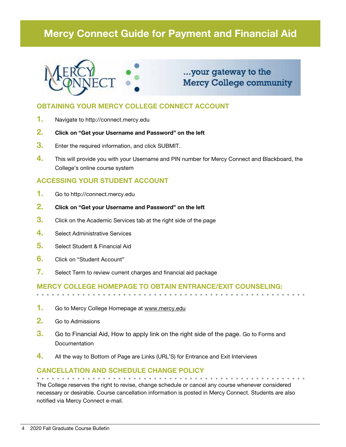# Mercy Connect Guide for Payment and Financial Aid



# ...your gateway to the **Mercy College community**

## OBTAINING YOUR MERCY COLLEGE CONNECT ACCOUNT

- 1. Navigate to http://connect.mercy.edu
- 2. Click on "Get your Username and Password" on the left
- **3.** Enter the required information, and click SUBMIT.
- 4. This will provide you with your Username and PIN number for Mercy Connect and Blackboard, the College's online course system

## ACCESSING YOUR STUDENT ACCOUNT

- 1. Go to http://connect.mercy.edu
- 2. Click on "Get your Username and Password" on the left
- **3.** Click on the Academic Services tab at the right side of the page
- 4. Select Administrative Services
- 5. Select Student & Financial Aid
- 6. Click on "Student Account"
- 7. Select Term to review current charges and financial aid package

## Mercy College homepage to obtain entrance/exit counseling:

- 1. Go to Mercy College Homepage at www.mercy.edu
- 2. Go to Admissions
- 3. Go to Financial Aid, How to apply link on the right side of the page. Go to Forms and **Documentation**
- $\frac{4}{1}$  All the way to Bottom of Page are Links (URL'S) for Entrance and Exit Interviews

# Cancellation and Schedule Change Policy

The College reserves the right to revise, change schedule or cancel any course whenever considered necessary or desirable. Course cancellation information is posted in Mercy Connect. Students are also notified via Mercy Connect e-mail.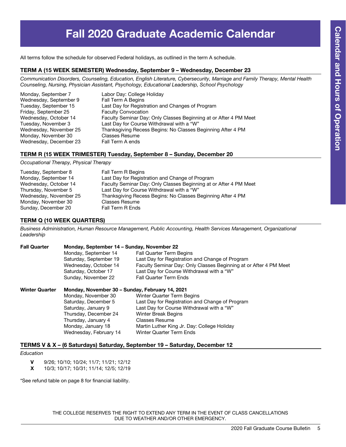# Fall 2020 Graduate Academic Calendar

All terms follow the schedule for observed Federal holidays, as outlined in the term A schedule.

#### TERM A (15 Week Semester) Wednesday, September 9 – Wednesday, December 23

*Communication Disorders, Counseling, Education, English Literature, Cybersecurity, Marriage and Family Therapy, Mental Health Counseling, Nursing, Physician Assistant, Psychology, Educational Leadership, School Psychology*

| Labor Day: College Holiday                                        |
|-------------------------------------------------------------------|
| Fall Term A Begins                                                |
| Last Day for Registration and Changes of Program                  |
| <b>Faculty Convocation</b>                                        |
| Faculty Seminar Day: Only Classes Beginning at or After 4 PM Meet |
| Last Day for Course Withdrawal with a "W"                         |
| Thanksgiving Recess Begins: No Classes Beginning After 4 PM       |
| <b>Classes Resume</b>                                             |
| Fall Term A ends                                                  |
|                                                                   |

#### TERM R (15 Week Trimester) Tuesday, September 8 – Sunday, December 20

*Occupational Therapy, Physical Therapy*

| Tuesday, September 8   | Fall Term R Begins                                                |
|------------------------|-------------------------------------------------------------------|
| Monday, September 14   | Last Day for Registration and Change of Program                   |
| Wednesday, October 14  | Faculty Seminar Day: Only Classes Beginning at or After 4 PM Meet |
| Thursday, November 5   | Last Day for Course Withdrawal with a "W"                         |
| Wednesday, November 25 | Thanksgiving Recess Begins: No Classes Beginning After 4 PM       |
| Monday, November 30    | <b>Classes Resume</b>                                             |
| Sunday, December 20    | <b>Fall Term R Ends</b>                                           |

#### TERM Q (10 Week Quarters)

*Business Administration, Human Resource Management, Public Accounting, Health Services Management, Organizational Leadership*

| <b>Fall Quarter</b>   | Monday, September 14 – Sunday, November 22<br>Monday, September 14<br>Saturday, September 19<br>Wednesday, October 14<br>Saturday, October 17<br>Sunday, November 22 | <b>Fall Quarter Term Begins</b><br>Last Day for Registration and Change of Program<br>Faculty Seminar Day: Only Classes Beginning at or After 4 PM Meet<br>Last Day for Course Withdrawal with a "W"<br><b>Fall Quarter Term Ends</b> |  |  |
|-----------------------|----------------------------------------------------------------------------------------------------------------------------------------------------------------------|---------------------------------------------------------------------------------------------------------------------------------------------------------------------------------------------------------------------------------------|--|--|
| <b>Winter Quarter</b> | Monday, November 30 – Sunday, February 14, 2021                                                                                                                      |                                                                                                                                                                                                                                       |  |  |
|                       | Monday, November 30                                                                                                                                                  | <b>Winter Quarter Term Begins</b>                                                                                                                                                                                                     |  |  |
|                       | Saturday, December 5                                                                                                                                                 | Last Day for Registration and Change of Program                                                                                                                                                                                       |  |  |
|                       | Saturday, January 9                                                                                                                                                  | Last Day for Course Withdrawal with a "W"                                                                                                                                                                                             |  |  |
|                       | Thursday, December 24                                                                                                                                                | <b>Winter Break Begins</b>                                                                                                                                                                                                            |  |  |
|                       | Thursday, January 4                                                                                                                                                  | <b>Classes Resume</b>                                                                                                                                                                                                                 |  |  |
|                       | Monday, January 18                                                                                                                                                   | Martin Luther King Jr. Day: College Holiday                                                                                                                                                                                           |  |  |
|                       | Wednesday, February 14                                                                                                                                               | <b>Winter Quarter Term Ends</b>                                                                                                                                                                                                       |  |  |

#### TERMS V & X – (6 Saturdays) Saturday, September 19 – Saturday, December 12

*Education*

V 9/26; 10/10; 10/24; 11/7; 11/21; 12/12

X 10/3; 10/17; 10/31; 11/14; 12/5; 12/19

\*See refund table on page 8 for financial liability.

THE COLLEGE RESERVES THE RIGHT TO EXTEND ANY TERM IN THE EVENT OF CLASS CANCELLATIONS DUE TO WEATHER AND/OR OTHER EMERGENCY.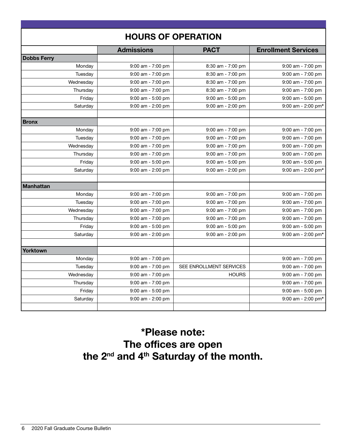| <b>HOURS OF OPERATION</b> |                       |                         |                            |  |
|---------------------------|-----------------------|-------------------------|----------------------------|--|
|                           | <b>Admissions</b>     | <b>PACT</b>             | <b>Enrollment Services</b> |  |
| <b>Dobbs Ferry</b>        |                       |                         |                            |  |
| Monday                    | $9:00$ am - $7:00$ pm | 8:30 am - 7:00 pm       | 9:00 am - 7:00 pm          |  |
| Tuesday                   | $9:00$ am - $7:00$ pm | 8:30 am - 7:00 pm       | 9:00 am - 7:00 pm          |  |
| Wednesday                 | $9:00$ am - 7:00 pm   | 8:30 am - 7:00 pm       | 9:00 am - 7:00 pm          |  |
| Thursday                  | 9:00 am - 7:00 pm     | 8:30 am - 7:00 pm       | 9:00 am - 7:00 pm          |  |
| Friday                    | 9:00 am - 5:00 pm     | 9:00 am - 5:00 pm       | 9:00 am - 5:00 pm          |  |
| Saturday                  | $9:00$ am - 2:00 pm   | 9:00 am - 2:00 pm       | 9:00 am - 2:00 pm*         |  |
| <b>Bronx</b>              |                       |                         |                            |  |
| Monday                    | $9:00$ am - 7:00 pm   | 9:00 am - 7:00 pm       | $9:00$ am - 7:00 pm        |  |
| Tuesday                   | $9:00$ am - 7:00 pm   | 9:00 am - 7:00 pm       | $9:00$ am - 7:00 pm        |  |
| Wednesday                 | $9:00$ am - $7:00$ pm | 9:00 am - 7:00 pm       | 9:00 am - 7:00 pm          |  |
| Thursday                  | $9:00$ am - 7:00 pm   | 9:00 am - 7:00 pm       | 9:00 am - 7:00 pm          |  |
| Friday                    | $9:00$ am - $5:00$ pm | 9:00 am - 5:00 pm       | 9:00 am - 5:00 pm          |  |
| Saturday                  | 9:00 am - 2:00 pm     | 9:00 am - 2:00 pm       | 9:00 am - 2:00 pm*         |  |
| <b>Manhattan</b>          |                       |                         |                            |  |
| Monday                    | $9:00$ am - 7:00 pm   | 9:00 am - 7:00 pm       | 9:00 am - 7:00 pm          |  |
| Tuesday                   | $9:00$ am - 7:00 pm   | 9:00 am - 7:00 pm       | $9:00$ am - 7:00 pm        |  |
| Wednesday                 | $9:00$ am - 7:00 pm   | $9:00$ am - $7:00$ pm   | $9:00$ am - 7:00 pm        |  |
| Thursday                  | $9:00$ am - 7:00 pm   | $9:00$ am - 7:00 pm     | $9:00$ am - 7:00 pm        |  |
| Friday                    | $9:00$ am - 5:00 pm   | $9:00$ am - 5:00 pm     | 9:00 am - 5:00 pm          |  |
| Saturday                  | 9:00 am - 2:00 pm     | 9:00 am - 2:00 pm       | $9:00$ am - 2:00 pm*       |  |
| Yorktown                  |                       |                         |                            |  |
| Monday                    | 9:00 am - 7:00 pm     |                         | 9:00 am - 7:00 pm          |  |
| Tuesday                   | 9:00 am - 7:00 pm     | SEE ENROLLMENT SERVICES | 9:00 am - 7:00 pm          |  |
| Wednesday                 | $9:00$ am - 7:00 pm   | <b>HOURS</b>            | $9:00$ am - 7:00 pm        |  |
| Thursday                  | 9:00 am - 7:00 pm     |                         | 9:00 am - 7:00 pm          |  |
| Friday                    | 9:00 am - 5:00 pm     |                         | 9:00 am - 5:00 pm          |  |
| Saturday                  | $9:00$ am - 2:00 pm   |                         | 9:00 am - 2:00 pm*         |  |
|                           |                       |                         |                            |  |

# \*Please note: The offices are open the 2<sup>nd</sup> and 4<sup>th</sup> Saturday of the month.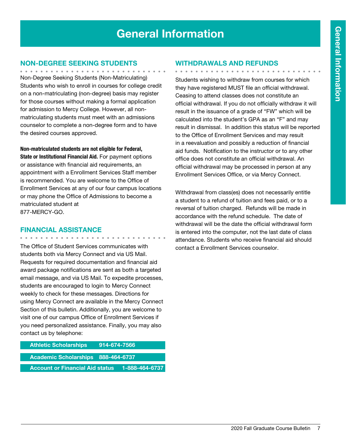# General Information

## Non-Degree Seeking Students

Non-Degree Seeking Students (Non-Matriculating) Students who wish to enroll in courses for college credit on a non-matriculating (non-degree) basis may register for those courses without making a formal application for admission to Mercy College. However, all nonmatriculating students must meet with an admissions counselor to complete a non-degree form and to have the desired courses approved.

Non-matriculated students are not eligible for Federal, State or Institutional Financial Aid. For payment options or assistance with financial aid requirements, an appointment with a Enrollment Services Staff member is recommended. You are welcome to the Office of Enrollment Services at any of our four campus locations or may phone the Office of Admissions to become a matriculated student at 877-MERCY-GO.

## Financial Assistance

. . . . . . . . . . . . . . .

The Office of Student Services communicates with students both via Mercy Connect and via US Mail. Requests for required documentation and financial aid award package notifications are sent as both a targeted email message, and via US Mail. To expedite processes, students are encouraged to login to Mercy Connect weekly to check for these messages. Directions for using Mercy Connect are available in the Mercy Connect Section of this bulletin. Additionally, you are welcome to visit one of our campus Office of Enrollment Services if you need personalized assistance. Finally, you may also contact us by telephone:

| <b>Athletic Scholarships</b>           | <u>914-674-7566 [</u> |                |
|----------------------------------------|-----------------------|----------------|
| Academic Scholarships 888-464-6737     |                       |                |
| <b>Account or Financial Aid status</b> |                       | 1-888-464-6737 |

## Withdrawals and Refunds

. . . . . . . . . . . . . . . . . .

Students wishing to withdraw from courses for which they have registered MUST file an official withdrawal. Ceasing to attend classes does not constitute an official withdrawal. If you do not officially withdraw it will result in the issuance of a grade of "FW" which will be calculated into the student's GPA as an "F" and may result in dismissal. In addition this status will be reported to the Office of Enrollment Services and may result in a reevaluation and possibly a reduction of financial aid funds. Notification to the instructor or to any other office does not constitute an official withdrawal. An official withdrawal may be processed in person at any Enrollment Services Office, or via Mercy Connect.

Withdrawal from class(es) does not necessarily entitle a student to a refund of tuition and fees paid, or to a reversal of tuition charged. Refunds will be made in accordance with the refund schedule. The date of withdrawal will be the date the official withdrawal form is entered into the computer, not the last date of class attendance. Students who receive financial aid should contact a Enrollment Services counselor.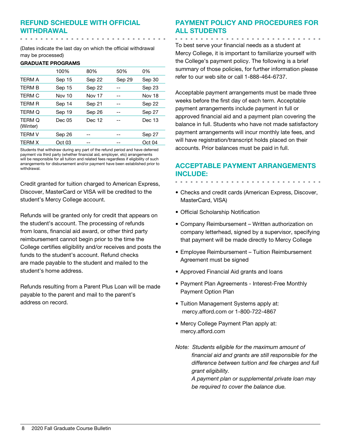# Refund Schedule with Official Withdrawal

(Dates indicate the last day on which the official withdrawal may be processed)

#### GRADUATE PROGRAMS

 $\begin{array}{cccccccccccccc} a & a & b & c & a & b & a & b & a & b \end{array}$ 

|                           | 100%   | 80%           | 50%    | 0%            |
|---------------------------|--------|---------------|--------|---------------|
| <b>TERM A</b>             | Sep 15 | Sep 22        | Sep 29 | Sep 30        |
| <b>TFRM B</b>             | Sep 15 | Sep 22        |        | Sep 23        |
| TERM C                    | Nov 10 | <b>Nov 17</b> |        | <b>Nov 18</b> |
| <b>TERM R</b>             | Sep 14 | Sep 21        |        | Sep 22        |
| TERM Q                    | Sep 19 | Sep 26        |        | Sep 27        |
| <b>TERM Q</b><br>(Winter) | Dec 05 | Dec 12        |        | Dec 13        |
| <b>TFRM V</b>             | Sep 26 |               |        | Sep 27        |
| <b>TERM X</b>             | Oct 03 |               |        | Oct 04        |
|                           |        |               |        |               |

Students that withdraw during any part of the refund period and have deferred payment via third party (whether financial aid, employer, etc) arrangements will be responsible for all tuition and related fees regardless if eligibility of such arrangements for disbursement and/or payment have been established prior to withdrawal.

Credit granted for tuition charged to American Express, Discover, MasterCard or VISA will be credited to the student's Mercy College account.

Refunds will be granted only for credit that appears on the student's account. The processing of refunds from loans, financial aid award, or other third party reimbursement cannot begin prior to the time the College certifies eligibility and/or receives and posts the funds to the student's account. Refund checks are made payable to the student and mailed to the student's home address.

Refunds resulting from a Parent Plus Loan will be made payable to the parent and mail to the parent's address on record.

# Payment Policy and Procedures for all Students

<u>. . . . . . . . . . . . . . . </u>

To best serve your financial needs as a student at Mercy College, it is important to familiarize yourself with the College's payment policy. The following is a brief summary of those policies, for further information please refer to our web site or call 1-888-464-6737.

Acceptable payment arrangements must be made three weeks before the first day of each term. Acceptable payment arrangements include payment in full or approved financial aid and a payment plan covering the balance in full. Students who have not made satisfactory payment arrangements will incur monthly late fees, and will have registration/transcript holds placed on their accounts. Prior balances must be paid in full.

## Acceptable Payment Arrangements include:

- Checks and credit cards (American Express, Discover, MasterCard, VISA)
- Official Scholarship Notification
- Company Reimbursement Written authorization on company letterhead, signed by a supervisor, specifying that payment will be made directly to Mercy College
- Employee Reimbursement Tuition Reimbursement Agreement must be signed
- Approved Financial Aid grants and loans
- Payment Plan Agreements Interest-Free Monthly Payment Option Plan
- Tuition Management Systems apply at: mercy.afford.com or 1-800-722-4867
- Mercy College Payment Plan apply at: mercy.afford.com
- *Note: Students eligible for the maximum amount of financial aid and grants are still responsible for the difference between tuition and fee charges and full grant eligibility.*

*A payment plan or supplemental private loan may be required to cover the balance due.*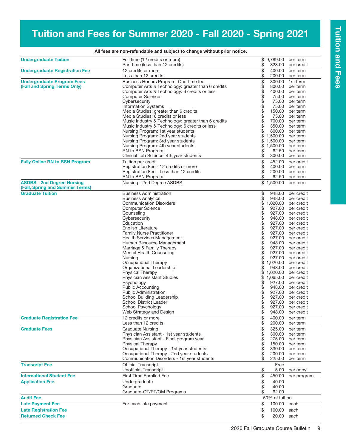# Tuition and Fees for Summer 2020 - Fall 2020 - Spring 2021

| <b>Undergraduate Tuition</b>                                         | Full time (12 credits or more)<br>Part time (less than 12 credits)                                                                                                                                                                                                                                                                                                                                                                                                                                                                                                                                                                                                    | \$                                                                                                     | \$9,789.00<br>823.00                                                                                                                                                                                                                       | per term<br>per credit                                                                                                                                                                                                                                                                                                                                                   |
|----------------------------------------------------------------------|-----------------------------------------------------------------------------------------------------------------------------------------------------------------------------------------------------------------------------------------------------------------------------------------------------------------------------------------------------------------------------------------------------------------------------------------------------------------------------------------------------------------------------------------------------------------------------------------------------------------------------------------------------------------------|--------------------------------------------------------------------------------------------------------|--------------------------------------------------------------------------------------------------------------------------------------------------------------------------------------------------------------------------------------------|--------------------------------------------------------------------------------------------------------------------------------------------------------------------------------------------------------------------------------------------------------------------------------------------------------------------------------------------------------------------------|
| <b>Undergraduate Registration Fee</b>                                | 12 credits or more<br>Less than 12 credits                                                                                                                                                                                                                                                                                                                                                                                                                                                                                                                                                                                                                            | \$<br>\$                                                                                               | 400.00<br>200.00                                                                                                                                                                                                                           | per term<br>per term                                                                                                                                                                                                                                                                                                                                                     |
| <b>Undergraduate Program Fees</b><br>(Fall and Spring Terms Only)    | Business Honors Program: One-time fee<br>Computer Arts & Technology: greater than 6 credits<br>Computer Arts & Technology: 6 credits or less<br><b>Computer Science</b><br>Cybersecurity<br><b>Information Systems</b><br>Media Studies: greater than 6 credits<br>Media Studies: 6 credits or less<br>Music Industry & Technology: greater than 6 credits<br>Music Industry & Technology: 6 credits or less<br>Nursing Program: 1st year students<br>Nursing Program: 2nd year students<br>Nursing Program: 3rd year students<br>Nursing Program: 4th year students                                                                                                  | \$\$\$\$\$<br>\$<br>\$<br>\$<br>\$<br>\$<br>\$<br>\$                                                   | 300.00<br>800.00<br>400.00<br>75.00<br>75.00<br>75.00<br>150.00<br>75.00<br>700.00<br>350.00<br>800.00<br>1,500.00<br>1,500.00<br>1,500.00                                                                                                 | 1st term<br>per term<br>per term<br>per term<br>per term<br>per term<br>per term<br>per term<br>per term<br>per term<br>per term<br>per term<br>per term<br>per term                                                                                                                                                                                                     |
| <b>Fully Online RN to BSN Program</b>                                | RN to BSN Program<br>Clinical Lab Science: 4th year students<br>Tuition per credit                                                                                                                                                                                                                                                                                                                                                                                                                                                                                                                                                                                    | \$<br>\$<br>\$                                                                                         | 62.50<br>300.00<br>452.00                                                                                                                                                                                                                  | per term<br>per term<br>per credit                                                                                                                                                                                                                                                                                                                                       |
|                                                                      | Registration Fee - 12 credits or more<br>Registration Fee - Less than 12 credits<br>RN to BSN Program                                                                                                                                                                                                                                                                                                                                                                                                                                                                                                                                                                 | \$<br>\$                                                                                               | 400.00<br>200.00<br>62.50                                                                                                                                                                                                                  | per term<br>per term<br>per term                                                                                                                                                                                                                                                                                                                                         |
| <b>ASDBS - 2nd Degree Nursing</b><br>(Fall, Spring and Summer Terms) | Nursing - 2nd Degree ASDBS                                                                                                                                                                                                                                                                                                                                                                                                                                                                                                                                                                                                                                            |                                                                                                        | \$1,500.00                                                                                                                                                                                                                                 | per term                                                                                                                                                                                                                                                                                                                                                                 |
| <b>Graduate Tuition</b>                                              | <b>Business Administration</b><br><b>Business Analytics</b><br><b>Communication Disorders</b><br><b>Computer Science</b><br>Counseling<br>Cybersecurity<br>Education<br>English Literature<br><b>Family Nurse Practitioner</b><br>Health Services Management<br>Human Resource Management<br>Marriage & Family Therapy<br>Mental Health Counseling<br>Nursing<br>Occupational Therapy<br>Organizational Leadership<br><b>Physical Therapy</b><br>Physician Assistant Studies<br>Psychology<br><b>Public Accounting</b><br><b>Public Administration</b><br>School Building Leadership<br><b>School District Leader</b><br>School Psychology<br>Web Strategy and Design | \$<br>\$<br>\$<br>\$<br>\$<br>888888<br>\$<br>\$<br>\$<br>\$<br>\$<br>\$<br>\$<br>\$<br>\$<br>\$<br>\$ | 948.00<br>948.00<br>1,020.00<br>927.00<br>927.00<br>948.00<br>927.00<br>927.00<br>927.00<br>927.00<br>948.00<br>927.00<br>927.00<br>927.00<br>1,020.00<br>948.00<br>1,020.00<br>1,065.00<br>927.00<br>948.00<br>927.00<br>927.00<br>948.00 | per credit<br>per credit<br>per credit<br>per credit<br>per credit<br>per credit<br>per credit<br>per credit<br>per credit<br>per credit<br>per credit<br>per credit<br>per credit<br>per credit<br>per credit<br>per credit<br>per credit<br>per credit<br>per credit<br>per credit<br>per credit<br>per credit<br>927.00 per credit<br>927.00 per credit<br>per credit |
| <b>Graduate Registration Fee</b>                                     | 12 credits or more<br>Less than 12 credits                                                                                                                                                                                                                                                                                                                                                                                                                                                                                                                                                                                                                            | \$<br>\$                                                                                               | 400.00<br>200.00                                                                                                                                                                                                                           | per term<br>per term                                                                                                                                                                                                                                                                                                                                                     |
| <b>Graduate Fees</b>                                                 | <b>Graduate Nursing</b><br>Physician Assistant - 1st year students<br>Physician Assistant - Final program year<br><b>Physical Therapy</b><br>Occupational Therapy - 1st year students<br>Occupational Therapy - 2nd year students<br>Communication Disorders - 1st year students                                                                                                                                                                                                                                                                                                                                                                                      | \$<br>\$<br>\$<br>\$<br>\$<br>\$<br>\$                                                                 | 325.00<br>300.00<br>275.00<br>150.00<br>330.00<br>200.00<br>225.00                                                                                                                                                                         | per term<br>per term<br>per term<br>per term<br>per term<br>per term<br>per term                                                                                                                                                                                                                                                                                         |
| <b>Transcript Fee</b>                                                | <b>Official Transcript</b><br><b>Unofficial Transcript</b>                                                                                                                                                                                                                                                                                                                                                                                                                                                                                                                                                                                                            | \$                                                                                                     | Free<br>5.00                                                                                                                                                                                                                               | per copy                                                                                                                                                                                                                                                                                                                                                                 |
| <b>International Student Fee</b><br><b>Application Fee</b>           | <b>First Time Enrolled Fee</b><br>Undergraduate<br>Graduate<br>Graduate-OT/PT/OM Programs                                                                                                                                                                                                                                                                                                                                                                                                                                                                                                                                                                             | \$<br>\$<br>\$<br>\$                                                                                   | 450.00<br>40.00<br>40.00<br>62.00                                                                                                                                                                                                          | per program                                                                                                                                                                                                                                                                                                                                                              |
| <b>Audit Fee</b>                                                     |                                                                                                                                                                                                                                                                                                                                                                                                                                                                                                                                                                                                                                                                       |                                                                                                        | 50% of tuition                                                                                                                                                                                                                             |                                                                                                                                                                                                                                                                                                                                                                          |
| <b>Late Payment Fee</b>                                              | For each late payment                                                                                                                                                                                                                                                                                                                                                                                                                                                                                                                                                                                                                                                 | \$                                                                                                     | 100.00                                                                                                                                                                                                                                     | each                                                                                                                                                                                                                                                                                                                                                                     |
| <b>Late Registration Fee</b><br><b>Returned Check Fee</b>            |                                                                                                                                                                                                                                                                                                                                                                                                                                                                                                                                                                                                                                                                       | \$<br>\$                                                                                               | 100.00<br>20.00                                                                                                                                                                                                                            | each<br>each                                                                                                                                                                                                                                                                                                                                                             |

#### All fees are non-refundable and subject to change without prior notice.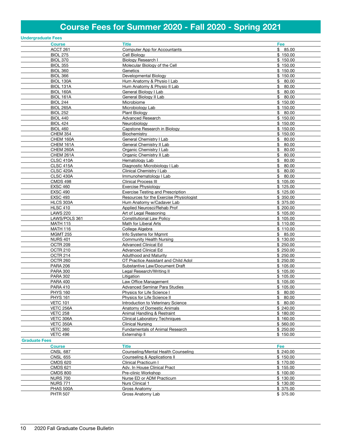# Course Fees for Summer 2020 - Fall 2020 - Spring 2021

|                      | <b>Undergraduate Fees</b>   |                                                                        |                      |
|----------------------|-----------------------------|------------------------------------------------------------------------|----------------------|
|                      | <b>Course</b>               | <b>Title</b>                                                           | Fee                  |
|                      | ACCT 261                    | Computer App for Accountants                                           | \$85.00              |
|                      | <b>BIOL 275</b>             | Cell Biology                                                           | \$150.00             |
|                      | <b>BIOL 370</b>             | <b>Biology Research I</b>                                              | \$150.00             |
|                      | <b>BIOL 355</b>             | Molecular Biology of the Cell                                          | \$150.00             |
|                      | <b>BIOL 360</b>             | Genetics                                                               | \$150.00             |
|                      | <b>BIOL 366</b>             | Developmental Biology                                                  | \$150.00             |
|                      | BIOL 130A                   | Hum Anatomy & Physio I Lab                                             | \$80.00              |
|                      | BIOL 131A                   | Hum Anatomy & Physio II Lab                                            | \$<br>80.00          |
|                      | BIOL 160A                   | General Biology I Lab                                                  | \$<br>80.00          |
|                      | BIOL 161A                   | General Biology II Lab                                                 | \$<br>80.00          |
|                      | <b>BIOL 244</b>             | Microbiome                                                             | \$150.00             |
|                      | <b>BIOL 265A</b>            | Microbiology Lab                                                       | \$150.00             |
|                      | <b>BIOL 252</b>             | Plant Biology                                                          | \$80.00              |
|                      | <b>BIOL 440</b>             | <b>Advanced Research</b>                                               | \$150.00             |
|                      | <b>BIOL 424</b>             | Neurobiology                                                           | \$150.00             |
|                      | <b>BIOL 460</b>             | Capstone Research in Biology                                           | \$150.00             |
|                      | <b>CHEM 354</b>             | Biochemistry                                                           | \$150.00             |
|                      | CHEM 160A                   | General Chemistry I Lab                                                | \$<br>80.00          |
|                      | CHEM 161A                   | General Chemistry II Lab                                               | \$<br>80.00          |
|                      | CHEM 260A                   | Organic Chemistry I Lab                                                | \$<br>80.00          |
|                      | CHEM 261A                   | Organic Chemistry II Lab                                               | 80.00<br>\$          |
|                      | <b>CLSC 410A</b>            | Hematology Lab                                                         | \$<br>80.00          |
|                      | CLSC 415A                   | Diagnostic Microbiology I Lab                                          | \$<br>80.00          |
|                      | <b>CLSC 420A</b>            | Clinical Chemistry I Lab                                               | \$<br>80.00          |
|                      | <b>CLSC 430A</b>            | Immunohematology I Lab                                                 | \$80.00              |
|                      | <b>CMDS 498</b>             | <b>Clinical Process III</b>                                            | \$105.00             |
|                      | <b>EXSC 460</b>             | Exercise Physiology                                                    | \$125.00             |
|                      | <b>EXSC 490</b>             | <b>Exercise Testing and Prescription</b>                               | \$125.00             |
|                      | <b>EXSC 493</b>             | Resources for the Exercise Physiologist                                | \$350.00             |
|                      | HLCS 303A                   | Hum Anatomy w/Cadaver Lab                                              | \$375.00             |
|                      | <b>HLSC 410</b>             | Applied Neurosci/Rehab Prof                                            | \$200.00             |
|                      | <b>LAWS 220</b>             | Art of Legal Reasoning                                                 | \$105.00             |
|                      | LAWS/POLS 361               | <b>Constitutional Law Policy</b>                                       | \$105.00             |
|                      | <b>MATH 115</b>             | Math for Liberal Arts                                                  | \$110.00             |
|                      | <b>MATH 116</b>             | College Algebra                                                        | \$110.00             |
|                      | <b>MGMT 255</b>             | Info Systems for Mgmnt                                                 | \$85.00              |
|                      | <b>NURS 401</b>             | Community Health Nursing                                               | \$130.00             |
|                      | OCTR <sub>209</sub>         | <b>Advanced Clinical Ed</b><br><b>Advanced Clinical Ed</b>             | \$250.00             |
|                      | <b>OCTR 210</b>             | <b>Adulthood and Maturity</b>                                          | \$250.00<br>\$250.00 |
|                      | OCTR 214                    |                                                                        | \$250.00             |
|                      | OCTR 260<br><b>PARA 206</b> | OT Practice Assistant and Child Adol<br>Substantive Law/Document Draft | \$105.00             |
|                      | <b>PARA 300</b>             | Legal Research/Writing II                                              | \$105.00             |
|                      | <b>PARA 302</b>             | Litigation                                                             | \$105.00             |
|                      | <b>PARA 400</b>             | Law Office Management                                                  | \$105.00             |
|                      | <b>PARA 410</b>             | <b>Advanced Seminar Para Studies</b>                                   | \$105.00             |
|                      | <b>PHYS 160</b>             | Physics for Life Science I                                             | \$80.00              |
|                      | <b>PHYS 161</b>             | Physics for Life Science II                                            | \$<br>80.00          |
|                      | <b>VETC 101</b>             | Introduction to Veterinary Science                                     | \$80.00              |
|                      | <b>VETC 256A</b>            | Anatomy of Domestic Animals                                            | \$240.00             |
|                      | <b>VETC 258</b>             | Animal Handling & Restraint                                            | \$180.00             |
|                      | VETC 306A                   | <b>Clinical Laboratory Techniques</b>                                  | \$160.00             |
|                      | VETC 350A                   | <b>Clinical Nursing</b>                                                | \$560.00             |
|                      | <b>VETC 360</b>             | Fundamentals of Animal Research                                        | \$250.00             |
|                      | <b>VETC 496</b>             | Externship II                                                          | \$150.00             |
| <b>Graduate Fees</b> |                             |                                                                        |                      |
|                      | <b>Course</b>               | <b>Title</b>                                                           | Fee                  |
|                      | <b>CNSL 687</b>             | Counseling/Mental Health Counseling                                    | \$240.00             |
|                      | <b>CNSL 655</b>             | Counseling & Applications II                                           | \$150.00             |
|                      | <b>CMDS 620</b>             | Clinical Practicum I                                                   | \$170.00             |
|                      | <b>CMDS 621</b>             | Adv. In House Clinical Pract                                           | \$155.00             |
|                      | <b>CMDS 800</b>             | Pre-clinic Workshop                                                    | \$100.00             |
|                      | <b>NURS 700</b>             | Nurse ED or ADM Practicum                                              | \$130.00             |
|                      | <b>NURS 771</b>             | Nurs Clinical 1                                                        | \$130.00             |
|                      | PHAS 500A                   | Gross Anatomy                                                          | \$ 375.00            |
|                      | <b>PHTR 507</b>             | Gross Anatomy Lab                                                      | \$ 375.00            |
|                      |                             |                                                                        |                      |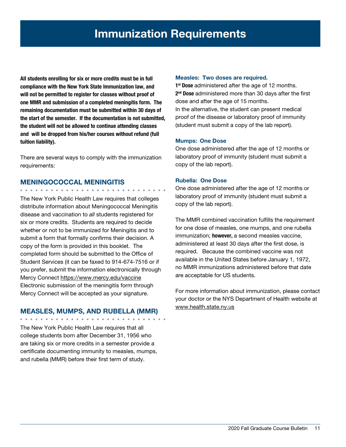All students enrolling for six or more credits must be in full compliance with the New York State Immunization law, and will not be permitted to register for classes without proof of one MMR and submission of a completed meningitis form. The remaining documentation must be submitted within 30 days of the start of the semester. If the documentation is not submitted, the student will not be allowed to continue attending classes and will be dropped from his/her courses without refund (full tuition liability).

There are several ways to comply with the immunization requirements:

## MENINGOCOCCAL MENINGITIS

The New York Public Health Law requires that colleges distribute information about Meningococcal Meningitis disease and vaccination to *all* students registered for six or more credits. Students are required to decide whether or not to be immunized for Meningitis and to submit a form that formally confirms their decision. A copy of the form is provided in this booklet. The completed form should be submitted to the Office of Student Services (it can be faxed to 914-674-7516 or if you prefer, submit the information electronically through Mercy Connect https://www.mercy.edu/vaccine Electronic submission of the meningitis form through Mercy Connect will be accepted as your signature.

#### MEASLES, MUMPS, AND RUBELLA (MMR)

The New York Public Health Law requires that all college students born after December 31, 1956 who are taking six or more credits in a semester provide a certificate documenting immunity to measles, mumps, and rubella (MMR) before their first term of study.

#### Measles: Two doses are required.

1<sup>st</sup> Dose administered after the age of 12 months. 2<sup>nd</sup> Dose administered more than 30 days after the first dose and after the age of 15 months. In the alternative, the student can present medical proof of the disease or laboratory proof of immunity (student must submit a copy of the lab report).

#### Mumps: One Dose

One dose administered after the age of 12 months or laboratory proof of immunity (student must submit a copy of the lab report).

#### Rubella: One Dose

One dose administered after the age of 12 months or laboratory proof of immunity (student must submit a copy of the lab report).

The MMR combined vaccination fulfills the requirement for one dose of measles, one mumps, and one rubella immunization; however, a second measles vaccine, administered at least 30 days after the first dose, is required. Because the combined vaccine was not available in the United States before January 1, 1972, no MMR immunizations administered before that date are acceptable for US students.

For more information about immunization, please contact your doctor or the NYS Department of Health website at www.health.state.ny.us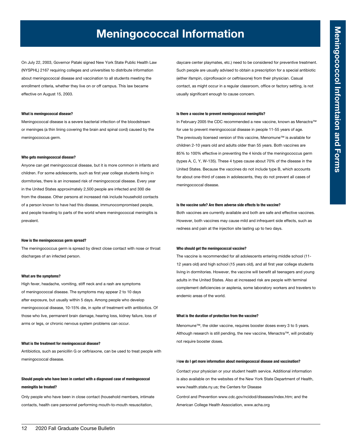# Meningococcal Information

On July 22, 2003, Governor Pataki signed New York State Public Health Law (NYSPHL) 2167 requiring colleges and universities to distribute information about meningococcal disease and vaccination to all students meeting the enrollment criteria, whether they live on or off campus. This law became effective on August 15, 2003.

#### What is meningococcal disease?

Meningococcal disease is a severe bacterial infection of the bloodstream or meninges (a thin lining covering the brain and spinal cord) caused by the meningococcus germ.

#### Who gets meningococcal disease?

Anyone can get meningococcal disease, but it is more common in infants and children. For some adolescents, such as first year college students living in dormitories, there is an increased risk of meningococcal disease. Every year in the United States approximately 2,500 people are infected and 300 die from the disease. Other persons at increased risk include household contacts of a person known to have had this disease, immunocompromised people, and people traveling to parts of the world where meningococcal meningitis is prevalent.

#### How is the meningococcus germ spread?

The meningococcus germ is spread by direct close contact with nose or throat discharges of an infected person.

#### What are the symptoms?

High fever, headache, vomiting, stiff neck and a rash are symptoms of meningococcal disease. The symptoms may appear 2 to 10 days after exposure, but usually within 5 days. Among people who develop meningococcal disease, 10-15% die, in spite of treatment with antibiotics. Of those who live, permanent brain damage, hearing loss, kidney failure, loss of arms or legs, or chronic nervous system problems can occur.

#### What is the treatment for meningococcal disease?

Antibiotics, such as penicillin G or ceftriaxone, can be used to treat people with meningococcal disease.

#### Should people who have been in contact with a diagnosed case of meningococcal meningitis be treated?

Only people who have been in close contact (household members, intimate contacts, health care personnel performing mouth-to-mouth resuscitation,

daycare center playmates, etc.) need to be considered for preventive treatment. Such people are usually advised to obtain a prescription for a special antibiotic (either ifampin, ciprofloxacin or ceftriaxone) from their physician. Casual contact, as might occur in a regular classroom, office or factory setting, is not usually significant enough to cause concern.

#### Is there a vaccine to prevent meningococcal meningitis?

In February 2005 the CDC recommended a new vaccine, known as Menactra™ for use to prevent meningococcal disease in people 11-55 years of age. The previously licensed version of this vaccine, Menomune™ is available for children 2-10 years old and adults older than 55 years. Both vaccines are 85% to 100% effective in preventing the 4 kinds of the meningococcus germ (types A, C, Y, W-135). These 4 types cause about 70% of the disease in the United States. Because the vaccines do not include type B, which accounts for about one-third of cases in adolescents, they do not prevent all cases of meningococcal disease.

#### Is the vaccine safe? Are there adverse side effects to the vaccine?

Both vaccines are currently available and both are safe and effective vaccines. However, both vaccines may cause mild and infrequent side effects, such as redness and pain at the injection site lasting up to two days.

#### Who should get the meningococcal vaccine?

The vaccine is recommended for all adolescents entering middle school (11- 12 years old) and high school (15 years old), and all first year college students living in dormitories. However, the vaccine will benefit all teenagers and young adults in the United States. Also at increased risk are people with terminal complement deficiencies or asplenia, some laboratory workers and travelers to endemic areas of the world.

#### What is the duration of protection from the vaccine?

Menomune™, the older vaccine, requires booster doses every 3 to 5 years. Although research is still pending, the new vaccine, Menactra™, will probably not require booster doses.

#### How do I get more information about meningococcal disease and vaccination?

Contact your physician or your student health service. Additional information is also available on the websites of the New York State Department of Health, www.health.state.ny.us; the Centers for Disease

Control and Prevention www.cdc.gov/ncidod/diseases/index.htm; and the American College Health Association, www.acha.org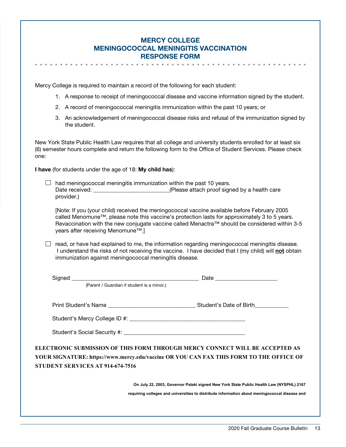| <b>MERCY COLLEGE</b>                        |
|---------------------------------------------|
| <b>MENINGOCOCCAL MENINGITIS VACCINATION</b> |
| <b>RESPONSE FORM</b>                        |

Mercy College is required to maintain a record of the following for each student:

- 1. A response to receipt of meningococcal disease and vaccine information signed by the student.
- 2. A record of meningococcal meningitis immunization within the past 10 years; or
- 3. An acknowledgement of meningococcal disease risks and refusal of the immunization signed by the student.

New York State Public Health Law requires that all college and university students enrolled for at least six (6) semester hours complete and return the following form to the Office of Student Services. Please check one:

I have (for students under the age of 18: My child has):

 $\Box$  had meningococcal meningitis immunization within the past 10 years. Date received: <br>  $(Please attach proof signed by a health care)$ provider.)

[Note: If you (your child) received the meningococcal vaccine available before February 2005 called Menomune™, please note this vaccine's protection lasts for approximately 3 to 5 years. Revaccination with the new conjugate vaccine called Menactra™ should be considered within 3-5 years after receiving Menomune™.]

 $\Box$  read, or have had explained to me, the information regarding meningococcal meningitis disease. I understand the risks of not receiving the vaccine. I have decided that I (my child) will not obtain immunization against meningococcal meningitis disease.

|                                  | (Parent / Guardian if student is a minor.)                                                                                                                                               |
|----------------------------------|------------------------------------------------------------------------------------------------------------------------------------------------------------------------------------------|
|                                  |                                                                                                                                                                                          |
|                                  |                                                                                                                                                                                          |
|                                  |                                                                                                                                                                                          |
| STUDENT SERVICES AT 914-674-7516 | ELECTRONIC SUBMISSION OF THIS FORM THROUGH MERCY CONNECT WILL BE ACCEPTED AS<br>YOUR SIGNATURE: https://www.mercy.edu/vaccine OR YOU CAN FAX THIS FORM TO THE OFFICE OF                  |
|                                  | On July 22, 2003, Governor Pataki signed New York State Public Health Law (NYSPHL) 2167<br>requiring colleges and universities to distribute information about meningococcal disease and |
|                                  |                                                                                                                                                                                          |